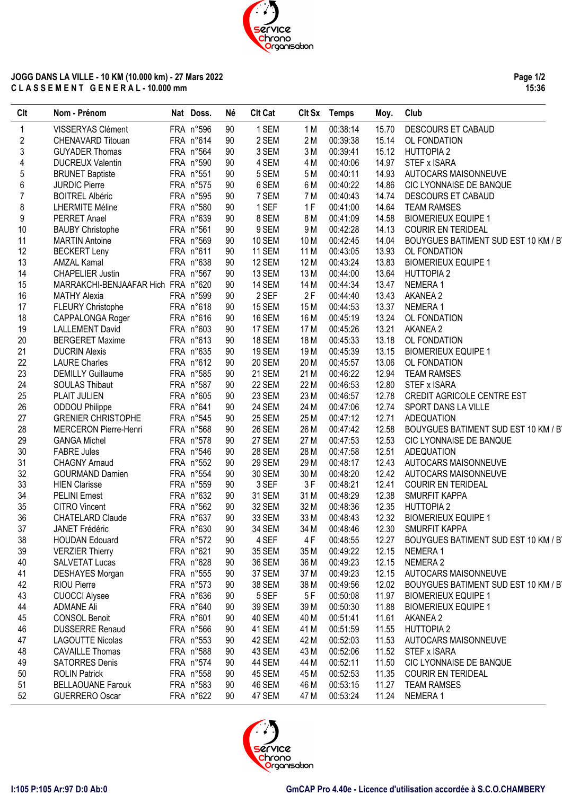

## **JOGG DANS LA VILLE - 10 KM (10.000 km) - 27 Mars 2022 C L A S S E M E N T G E N E R A L - 10.000 mm**

**Page 1/2 15:36**

| <b>Clt</b> | Nom - Prénom                                 | Nat Doss.              | Né       | <b>Clt Cat</b>   |      | Clt Sx Temps         | Moy.           | Club                                |
|------------|----------------------------------------------|------------------------|----------|------------------|------|----------------------|----------------|-------------------------------------|
| 1          | VISSERYAS Clément                            | FRA n°596              | 90       | 1 SEM            | 1 M  | 00:38:14             | 15.70          | DESCOURS ET CABAUD                  |
| $\sqrt{2}$ | CHENAVARD Titouan                            | FRA n°614              | 90       | 2 SEM            | 2 M  | 00:39:38             | 15.14          | OL FONDATION                        |
| 3          | <b>GUYADER Thomas</b>                        | FRA n°564              | 90       | 3 SEM            | 3M   | 00:39:41             | 15.12          | <b>HUTTOPIA 2</b>                   |
| 4          | <b>DUCREUX Valentin</b>                      | FRA n°590              | 90       | 4 SEM            | 4 M  | 00:40:06             | 14.97          | STEF x ISARA                        |
| 5          | <b>BRUNET Baptiste</b>                       | FRA n°551              | 90       | 5 SEM            | 5 M  | 00:40:11             | 14.93          | AUTOCARS MAISONNEUVE                |
| 6          | <b>JURDIC Pierre</b>                         | FRA n°575              | 90       | 6 SEM            | 6 M  | 00:40:22             | 14.86          | CIC LYONNAISE DE BANQUE             |
| 7          | <b>BOITREL Albéric</b>                       | FRA n°595              | 90       | 7 SEM            | 7 M  | 00:40:43             | 14.74          | DESCOURS ET CABAUD                  |
| 8          | <b>LHERMITE Méline</b>                       | FRA n°580              | 90       | 1 SEF            | 1F   | 00:41:00             | 14.64          | <b>TEAM RAMSES</b>                  |
| 9          | PERRET Anael                                 | FRA n°639              | 90       | 8 SEM            | 8 M  | 00:41:09             | 14.58          | <b>BIOMERIEUX EQUIPE 1</b>          |
| 10         | <b>BAUBY Christophe</b>                      | FRA n°561              | 90       | 9 SEM            | 9 M  | 00:42:28             | 14.13          | <b>COURIR EN TERIDEAL</b>           |
| 11         | <b>MARTIN Antoine</b>                        | FRA n°569              | 90       | <b>10 SEM</b>    | 10 M | 00:42:45             | 14.04          | BOUYGUES BATIMENT SUD EST 10 KM / B |
| 12         | <b>BECKERT Leny</b>                          | FRA n°611              | 90       | 11 SEM           | 11 M | 00:43:05             | 13.93          | OL FONDATION                        |
| 13         | <b>AMZAL Kamal</b>                           | FRA n°638              | 90       | 12 SEM           | 12 M | 00:43:24             | 13.83          | <b>BIOMERIEUX EQUIPE 1</b>          |
| 14         | <b>CHAPELIER Justin</b>                      | FRA n°567              | 90       | 13 SEM           | 13 M | 00:44:00             | 13.64          | <b>HUTTOPIA 2</b>                   |
| 15         | MARRAKCHI-BENJAAFAR Hich FRA n°620           |                        | 90       | <b>14 SEM</b>    | 14 M | 00:44:34             | 13.47          | NEMERA1                             |
| 16         | <b>MATHY Alexia</b>                          | FRA n°599              | 90       | 2 SEF            | 2F   | 00:44:40             | 13.43          | AKANEA 2                            |
| 17         | <b>FLEURY Christophe</b>                     | FRA n°618              | 90       | 15 SEM           | 15 M | 00:44:53             | 13.37          | NEMERA 1                            |
| 18         | CAPPALONGA Roger                             | FRA n°616              | 90       | <b>16 SEM</b>    | 16 M | 00:45:19             | 13.24          | OL FONDATION                        |
| 19         | <b>LALLEMENT David</b>                       | FRA n°603              | 90       | 17 SEM           | 17 M | 00:45:26             | 13.21          | AKANEA 2                            |
| 20         | <b>BERGERET Maxime</b>                       | FRA n°613              | 90       | 18 SEM           | 18 M | 00:45:33             | 13.18          | OL FONDATION                        |
| 21         | <b>DUCRIN Alexis</b>                         | FRA n°635              | 90       | 19 SEM           | 19 M | 00:45:39             | 13.15          | <b>BIOMERIEUX EQUIPE 1</b>          |
| 22         | <b>LAURE Charles</b>                         | FRA n°612              | 90       | <b>20 SEM</b>    | 20 M | 00:45:57             | 13.06          | OL FONDATION                        |
| 23         | <b>DEMILLY Guillaume</b>                     | FRA n°585              | 90       | 21 SEM           | 21 M | 00:46:22             | 12.94          | <b>TEAM RAMSES</b>                  |
| 24         | SOULAS Thibaut                               | FRA n°587              | 90       | 22 SEM           | 22 M | 00:46:53             | 12.80          | STEF x ISARA                        |
| 25         | PLAIT JULIEN                                 | FRA n°605              | 90       | 23 SEM           | 23 M | 00:46:57             | 12.78          | CREDIT AGRICOLE CENTRE EST          |
| 26         | ODDOU Philippe                               | FRA n°641              | 90       | <b>24 SEM</b>    | 24 M | 00:47:06             | 12.74          | SPORT DANS LA VILLE                 |
| 27         | <b>GRENIER CHRISTOPHE</b>                    | FRA n°545              | 90       | 25 SEM           | 25 M | 00:47:12             | 12.71          | <b>ADEQUATION</b>                   |
| 28         | <b>MERCERON Pierre-Henri</b>                 | FRA n°568              | 90       | <b>26 SEM</b>    | 26 M | 00:47:42             | 12.58          | BOUYGUES BATIMENT SUD EST 10 KM / B |
| 29         | <b>GANGA Michel</b>                          | FRA n°578              | 90       | 27 SEM           | 27 M | 00:47:53             | 12.53          | CIC LYONNAISE DE BANQUE             |
| 30         | <b>FABRE Jules</b>                           | FRA n°546              | 90       | <b>28 SEM</b>    | 28 M | 00:47:58             | 12.51          | <b>ADEQUATION</b>                   |
| 31         | <b>CHAGNY Arnaud</b>                         | FRA n°552              | 90       | 29 SEM           | 29 M | 00:48:17             | 12.43          | AUTOCARS MAISONNEUVE                |
| 32         | <b>GOURMAND Damien</b>                       | FRA n°554              | 90       | 30 SEM           | 30 M | 00:48:20             | 12.42          | AUTOCARS MAISONNEUVE                |
| 33         | <b>HIEN Clarisse</b>                         | FRA n°559              | 90       | 3 SEF            | 3F   | 00:48:21             | 12.41          | <b>COURIR EN TERIDEAL</b>           |
| 34         | PELINI Ernest                                | FRA n°632              | 90       | 31 SEM           | 31 M | 00:48:29             | 12.38          | <b>SMURFIT KAPPA</b>                |
| 35         | <b>CITRO Vincent</b>                         | FRA n°562              | 90       | 32 SEM           | 32 M | 00:48:36             | 12.35          | <b>HUTTOPIA 2</b>                   |
| 36         | <b>CHATELARD Claude</b>                      | FRA n°637              | 90       | 33 SEM           | 33 M | 00:48:43             | 12.32          | <b>BIOMERIEUX EQUIPE 1</b>          |
| 37         | JANET Frédéric                               | FRA n°630              | 90       | 34 SEM           | 34 M | 00:48:46             | 12.30          | SMURFIT KAPPA                       |
| 38         | <b>HOUDAN Edouard</b>                        | FRA n°572              | 90       | 4 SEF            | 4 F  | 00:48:55             | 12.27          | BOUYGUES BATIMENT SUD EST 10 KM / B |
| 39         | <b>VERZIER Thierry</b>                       | FRA n°621              | 90       | 35 SEM           | 35 M | 00:49:22             | 12.15          | NEMERA 1                            |
|            |                                              |                        | 90       |                  | 36 M |                      | 12.15          | NEMERA 2                            |
| 40         | <b>SALVETAT Lucas</b>                        | FRA n°628              | 90       | 36 SEM<br>37 SEM | 37 M | 00:49:23<br>00:49:23 | 12.15          | AUTOCARS MAISONNEUVE                |
| 41<br>42   | <b>DESHAYES Morgan</b><br><b>RIOU Pierre</b> | FRA n°555<br>FRA n°573 |          | 38 SEM           | 38 M |                      |                | BOUYGUES BATIMENT SUD EST 10 KM / B |
|            |                                              | FRA n°636              | 90<br>90 | 5 SEF            |      | 00:49:56<br>00:50:08 | 12.02<br>11.97 | <b>BIOMERIEUX EQUIPE 1</b>          |
| 43         | <b>CUOCCI Alysee</b>                         | FRA n°640              |          |                  | 5F   |                      |                |                                     |
| 44         | ADMANE Ali<br><b>CONSOL Benoit</b>           | FRA n°601              | 90<br>90 | 39 SEM<br>40 SEM | 39 M | 00:50:30             | 11.88<br>11.61 | <b>BIOMERIEUX EQUIPE 1</b>          |
| 45         | <b>DUSSERRE Renaud</b>                       |                        |          |                  | 40 M | 00:51:41             |                | AKANEA 2                            |
| 46         |                                              | FRA n°566              | 90       | 41 SEM           | 41 M | 00:51:59             | 11.55          | <b>HUTTOPIA 2</b>                   |
| 47         | <b>LAGOUTTE Nicolas</b>                      | FRA n°553              | 90       | 42 SEM           | 42 M | 00:52:03             | 11.53          | AUTOCARS MAISONNEUVE                |
| 48         | <b>CAVAILLE Thomas</b>                       | FRA n°588              | 90       | 43 SEM           | 43 M | 00:52:06             | 11.52          | STEF x ISARA                        |
| 49         | <b>SATORRES Denis</b>                        | FRA n°574              | 90       | 44 SEM           | 44 M | 00:52:11             | 11.50          | CIC LYONNAISE DE BANQUE             |
| 50         | <b>ROLIN Patrick</b>                         | FRA n°558              | 90       | 45 SEM           | 45 M | 00:52:53             | 11.35          | <b>COURIR EN TERIDEAL</b>           |
| 51         | <b>BELLAOUANE Farouk</b>                     | FRA n°583              | 90       | 46 SEM           | 46 M | 00:53:15             | 11.27          | <b>TEAM RAMSES</b>                  |
| 52         | <b>GUERRERO Oscar</b>                        | FRA n°622              | 90       | 47 SEM           | 47 M | 00:53:24             | 11.24          | NEMERA1                             |